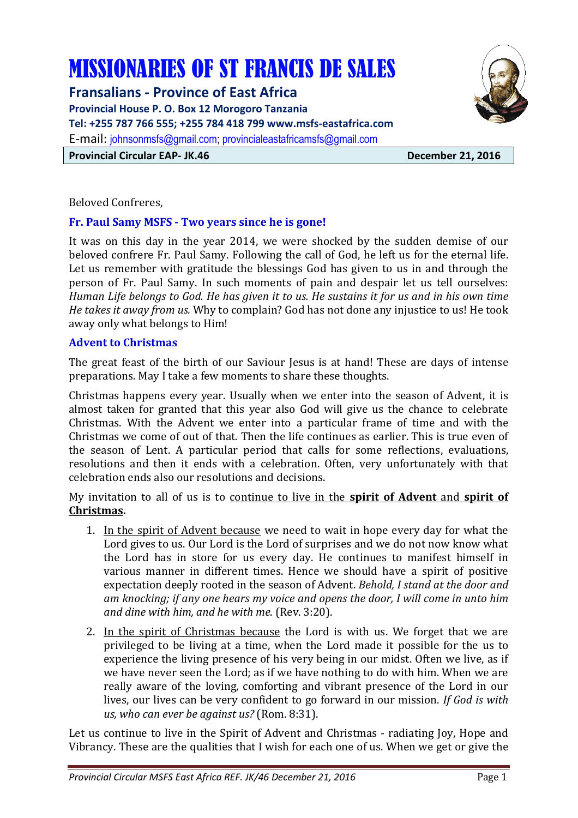# MISSIONARIES OF ST FRANCIS DE SALES

**Fransalians - Province of East Africa** 

**Provincial House P. O. Box 12 Morogoro Tanzania** 

**Tel: +255 787 766 555; +255 784 418 799 www.msfs-eastafrica.com** 

E-mail: johnsonmsfs@gmail.com; provincialeastafricamsfs@gmail.com

**Provincial Circular EAP- JK.46** December 21, 2016

Beloved Confreres,

## **Fr. Paul Samy MSFS - Two years since he is gone!**

It was on this day in the year 2014, we were shocked by the sudden demise of our beloved confrere Fr. Paul Samy. Following the call of God, he left us for the eternal life. Let us remember with gratitude the blessings God has given to us in and through the person of Fr. Paul Samy. In such moments of pain and despair let us tell ourselves: *Human Life belongs to God. He has given it to us. He sustains it for us and in his own time He takes it away from us.* Why to complain? God has not done any injustice to us! He took away only what belongs to Him!

## **Advent to Christmas**

The great feast of the birth of our Saviour Jesus is at hand! These are days of intense preparations. May I take a few moments to share these thoughts.

Christmas happens every year. Usually when we enter into the season of Advent, it is almost taken for granted that this year also God will give us the chance to celebrate Christmas. With the Advent we enter into a particular frame of time and with the Christmas we come of out of that. Then the life continues as earlier. This is true even of the season of Lent. A particular period that calls for some reflections, evaluations, resolutions and then it ends with a celebration. Often, very unfortunately with that celebration ends also our resolutions and decisions.

My invitation to all of us is to continue to live in the **spirit of Advent** and **spirit of Christmas.**

- 1. In the spirit of Advent because we need to wait in hope every day for what the Lord gives to us. Our Lord is the Lord of surprises and we do not now know what the Lord has in store for us every day. He continues to manifest himself in various manner in different times. Hence we should have a spirit of positive expectation deeply rooted in the season of Advent. *Behold, I stand at the door and am knocking; if any one hears my voice and opens the door, I will come in unto him and dine with him, and he with me*. (Rev. 3:20).
- 2. In the spirit of Christmas because the Lord is with us. We forget that we are privileged to be living at a time, when the Lord made it possible for the us to experience the living presence of his very being in our midst. Often we live, as if we have never seen the Lord; as if we have nothing to do with him. When we are really aware of the loving, comforting and vibrant presence of the Lord in our lives, our lives can be very confident to go forward in our mission. *If God is with us, who can ever be against us?* (Rom. 8:31).

Let us continue to live in the Spirit of Advent and Christmas - radiating Joy, Hope and Vibrancy. These are the qualities that I wish for each one of us. When we get or give the

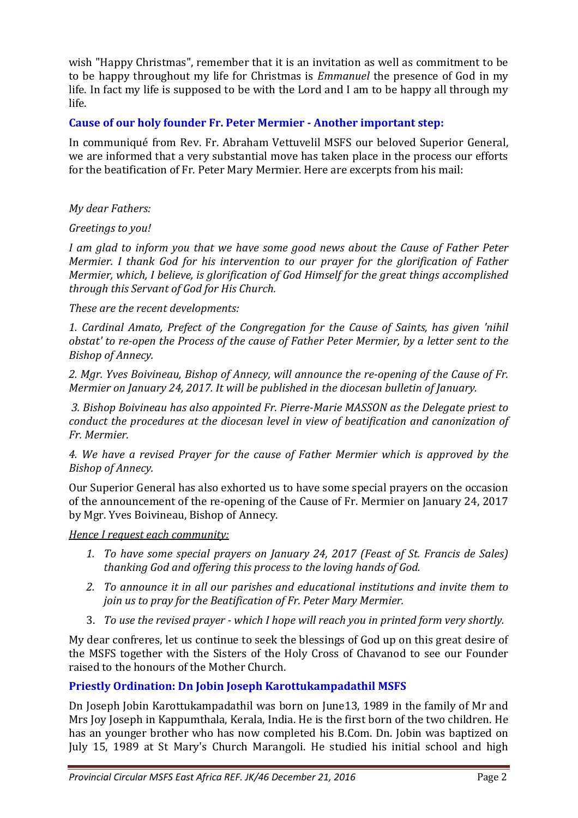wish "Happy Christmas", remember that it is an invitation as well as commitment to be to be happy throughout my life for Christmas is *Emmanuel* the presence of God in my life. In fact my life is supposed to be with the Lord and I am to be happy all through my life.

## **Cause of our holy founder Fr. Peter Mermier - Another important step:**

In communiqué from Rev. Fr. Abraham Vettuvelil MSFS our beloved Superior General, we are informed that a very substantial move has taken place in the process our efforts for the beatification of Fr. Peter Mary Mermier. Here are excerpts from his mail:

*My dear Fathers:* 

*Greetings to you!* 

*I am glad to inform you that we have some good news about the Cause of Father Peter Mermier. I thank God for his intervention to our prayer for the glorification of Father Mermier, which, I believe, is glorification of God Himself for the great things accomplished through this Servant of God for His Church.* 

*These are the recent developments:* 

*1. Cardinal Amato, Prefect of the Congregation for the Cause of Saints, has given 'nihil obstat' to re-open the Process of the cause of Father Peter Mermier, by a letter sent to the Bishop of Annecy.* 

*2. Mgr. Yves Boivineau, Bishop of Annecy, will announce the re-opening of the Cause of Fr. Mermier on January 24, 2017. It will be published in the diocesan bulletin of January.* 

 *3. Bishop Boivineau has also appointed Fr. Pierre-Marie MASSON as the Delegate priest to conduct the procedures at the diocesan level in view of beatification and canonization of Fr. Mermier.* 

*4. We have a revised Prayer for the cause of Father Mermier which is approved by the Bishop of Annecy.* 

Our Superior General has also exhorted us to have some special prayers on the occasion of the announcement of the re-opening of the Cause of Fr. Mermier on January 24, 2017 by Mgr. Yves Boivineau, Bishop of Annecy.

*Hence I request each community:* 

- *1. To have some special prayers on January 24, 2017 (Feast of St. Francis de Sales) thanking God and offering this process to the loving hands of God.*
- *2. To announce it in all our parishes and educational institutions and invite them to join us to pray for the Beatification of Fr. Peter Mary Mermier.*
- 3. *To use the revised prayer which I hope will reach you in printed form very shortly.*

My dear confreres, let us continue to seek the blessings of God up on this great desire of the MSFS together with the Sisters of the Holy Cross of Chavanod to see our Founder raised to the honours of the Mother Church.

# **Priestly Ordination: Dn Jobin Joseph Karottukampadathil MSFS**

Dn Joseph Jobin Karottukampadathil was born on June13, 1989 in the family of Mr and Mrs Joy Joseph in Kappumthala, Kerala, India. He is the first born of the two children. He has an younger brother who has now completed his B.Com. Dn. Jobin was baptized on July 15, 1989 at St Mary's Church Marangoli. He studied his initial school and high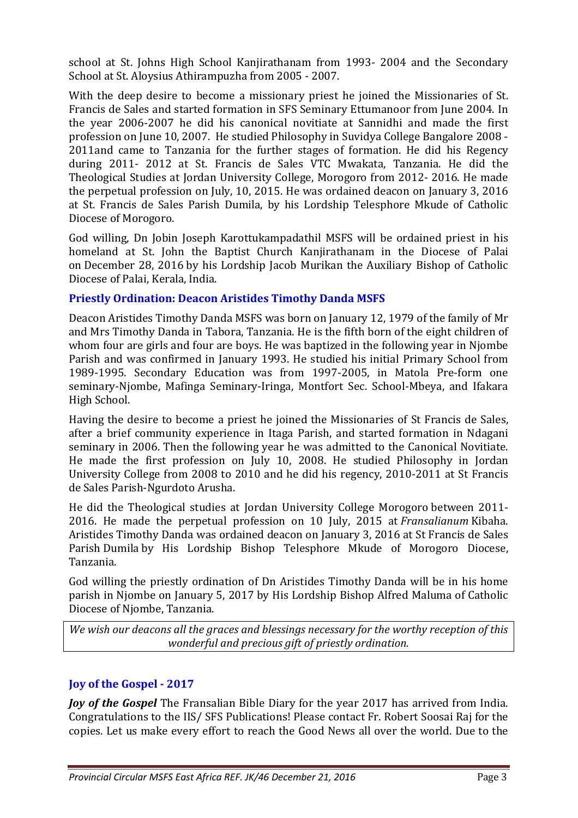school at St. Johns High School Kanjirathanam from 1993- 2004 and the Secondary School at St. Aloysius Athirampuzha from 2005 - 2007.

With the deep desire to become a missionary priest he joined the Missionaries of St. Francis de Sales and started formation in SFS Seminary Ettumanoor from June 2004. In the year 2006-2007 he did his canonical novitiate at Sannidhi and made the first profession on June 10, 2007. He studied Philosophy in Suvidya College Bangalore 2008 - 2011and came to Tanzania for the further stages of formation. He did his Regency during 2011- 2012 at St. Francis de Sales VTC Mwakata, Tanzania. He did the Theological Studies at Jordan University College, Morogoro from 2012- 2016. He made the perpetual profession on July, 10, 2015. He was ordained deacon on January 3, 2016 at St. Francis de Sales Parish Dumila, by his Lordship Telesphore Mkude of Catholic Diocese of Morogoro.

God willing, Dn Jobin Joseph Karottukampadathil MSFS will be ordained priest in his homeland at St. John the Baptist Church Kanjirathanam in the Diocese of Palai on December 28, 2016 by his Lordship Jacob Murikan the Auxiliary Bishop of Catholic Diocese of Palai, Kerala, India.

# **Priestly Ordination: Deacon Aristides Timothy Danda MSFS**

Deacon Aristides Timothy Danda MSFS was born on January 12, 1979 of the family of Mr and Mrs Timothy Danda in Tabora, Tanzania. He is the fifth born of the eight children of whom four are girls and four are boys. He was baptized in the following year in Njombe Parish and was confirmed in January 1993. He studied his initial Primary School from 1989-1995. Secondary Education was from 1997-2005, in Matola Pre-form one seminary-Njombe, Mafinga Seminary-Iringa, Montfort Sec. School-Mbeya, and Ifakara High School.

Having the desire to become a priest he joined the Missionaries of St Francis de Sales, after a brief community experience in Itaga Parish, and started formation in Ndagani seminary in 2006. Then the following year he was admitted to the Canonical Novitiate. He made the first profession on July 10, 2008. He studied Philosophy in Jordan University College from 2008 to 2010 and he did his regency, 2010-2011 at St Francis de Sales Parish-Ngurdoto Arusha.

He did the Theological studies at Jordan University College Morogoro between 2011- 2016. He made the perpetual profession on 10 July, 2015 at *Fransalianum* Kibaha. Aristides Timothy Danda was ordained deacon on January 3, 2016 at St Francis de Sales Parish Dumila by His Lordship Bishop Telesphore Mkude of Morogoro Diocese, Tanzania.

God willing the priestly ordination of Dn Aristides Timothy Danda will be in his home parish in Njombe on January 5, 2017 by His Lordship Bishop Alfred Maluma of Catholic Diocese of Njombe, Tanzania.

*We wish our deacons all the graces and blessings necessary for the worthy reception of this wonderful and precious gift of priestly ordination.*

# **Joy of the Gospel - 2017**

*Joy of the Gospel* The Fransalian Bible Diary for the year 2017 has arrived from India. Congratulations to the IIS/ SFS Publications! Please contact Fr. Robert Soosai Raj for the copies. Let us make every effort to reach the Good News all over the world. Due to the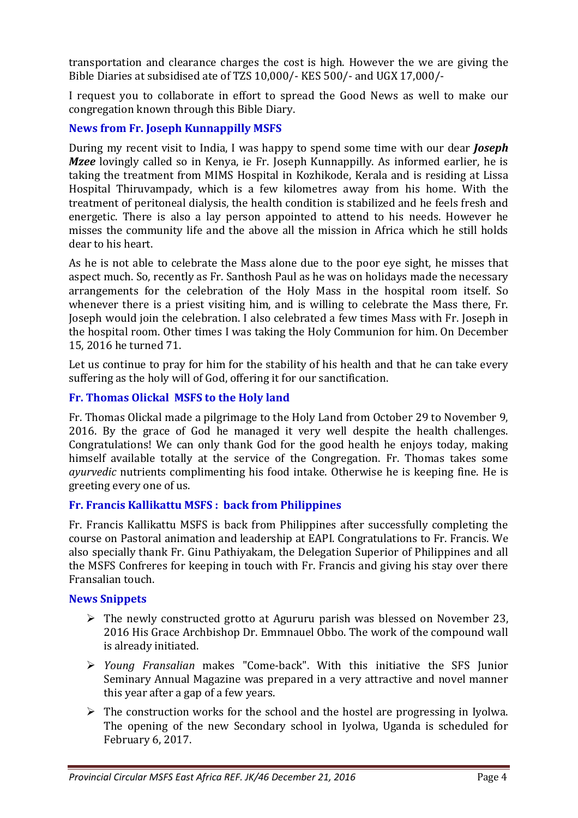transportation and clearance charges the cost is high. However the we are giving the Bible Diaries at subsidised ate of TZS 10,000/- KES 500/- and UGX 17,000/-

I request you to collaborate in effort to spread the Good News as well to make our congregation known through this Bible Diary.

# **News from Fr. Joseph Kunnappilly MSFS**

During my recent visit to India, I was happy to spend some time with our dear *Joseph Mzee* lovingly called so in Kenya, ie Fr. Joseph Kunnappilly. As informed earlier, he is taking the treatment from MIMS Hospital in Kozhikode, Kerala and is residing at Lissa Hospital Thiruvampady, which is a few kilometres away from his home. With the treatment of peritoneal dialysis, the health condition is stabilized and he feels fresh and energetic. There is also a lay person appointed to attend to his needs. However he misses the community life and the above all the mission in Africa which he still holds dear to his heart.

As he is not able to celebrate the Mass alone due to the poor eye sight, he misses that aspect much. So, recently as Fr. Santhosh Paul as he was on holidays made the necessary arrangements for the celebration of the Holy Mass in the hospital room itself. So whenever there is a priest visiting him, and is willing to celebrate the Mass there, Fr. Joseph would join the celebration. I also celebrated a few times Mass with Fr. Joseph in the hospital room. Other times I was taking the Holy Communion for him. On December 15, 2016 he turned 71.

Let us continue to pray for him for the stability of his health and that he can take every suffering as the holy will of God, offering it for our sanctification.

# **Fr. Thomas Olickal MSFS to the Holy land**

Fr. Thomas Olickal made a pilgrimage to the Holy Land from October 29 to November 9, 2016. By the grace of God he managed it very well despite the health challenges. Congratulations! We can only thank God for the good health he enjoys today, making himself available totally at the service of the Congregation. Fr. Thomas takes some *ayurvedic* nutrients complimenting his food intake. Otherwise he is keeping fine. He is greeting every one of us.

# **Fr. Francis Kallikattu MSFS : back from Philippines**

Fr. Francis Kallikattu MSFS is back from Philippines after successfully completing the course on Pastoral animation and leadership at EAPI. Congratulations to Fr. Francis. We also specially thank Fr. Ginu Pathiyakam, the Delegation Superior of Philippines and all the MSFS Confreres for keeping in touch with Fr. Francis and giving his stay over there Fransalian touch.

# **News Snippets**

- $\triangleright$  The newly constructed grotto at Agururu parish was blessed on November 23, 2016 His Grace Archbishop Dr. Emmnauel Obbo. The work of the compound wall is already initiated.
- *Young Fransalian* makes "Come-back". With this initiative the SFS Junior Seminary Annual Magazine was prepared in a very attractive and novel manner this year after a gap of a few years.
- $\triangleright$  The construction works for the school and the hostel are progressing in Iyolwa. The opening of the new Secondary school in Iyolwa, Uganda is scheduled for February 6, 2017.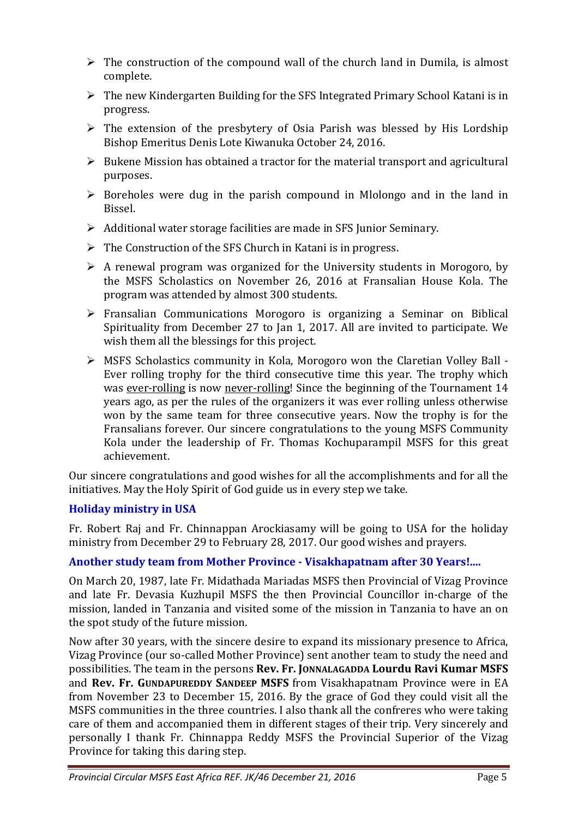- $\triangleright$  The construction of the compound wall of the church land in Dumila, is almost complete.
- $\triangleright$  The new Kindergarten Building for the SFS Integrated Primary School Katani is in progress.
- $\triangleright$  The extension of the presbytery of Osia Parish was blessed by His Lordship Bishop Emeritus Denis Lote Kiwanuka October 24, 2016.
- $\triangleright$  Bukene Mission has obtained a tractor for the material transport and agricultural purposes.
- $\triangleright$  Boreholes were dug in the parish compound in Mlolongo and in the land in Bissel.
- $\triangleright$  Additional water storage facilities are made in SFS Junior Seminary.
- $\triangleright$  The Construction of the SFS Church in Katani is in progress.
- $\triangleright$  A renewal program was organized for the University students in Morogoro, by the MSFS Scholastics on November 26, 2016 at Fransalian House Kola. The program was attended by almost 300 students.
- Fransalian Communications Morogoro is organizing a Seminar on Biblical Spirituality from December 27 to Jan 1, 2017. All are invited to participate. We wish them all the blessings for this project.
- MSFS Scholastics community in Kola, Morogoro won the Claretian Volley Ball Ever rolling trophy for the third consecutive time this year. The trophy which was ever-rolling is now never-rolling! Since the beginning of the Tournament 14 years ago, as per the rules of the organizers it was ever rolling unless otherwise won by the same team for three consecutive years. Now the trophy is for the Fransalians forever. Our sincere congratulations to the young MSFS Community Kola under the leadership of Fr. Thomas Kochuparampil MSFS for this great achievement.

Our sincere congratulations and good wishes for all the accomplishments and for all the initiatives. May the Holy Spirit of God guide us in every step we take.

# **Holiday ministry in USA**

Fr. Robert Raj and Fr. Chinnappan Arockiasamy will be going to USA for the holiday ministry from December 29 to February 28, 2017. Our good wishes and prayers.

# **Another study team from Mother Province - Visakhapatnam after 30 Years!....**

On March 20, 1987, late Fr. Midathada Mariadas MSFS then Provincial of Vizag Province and late Fr. Devasia Kuzhupil MSFS the then Provincial Councillor in-charge of the mission, landed in Tanzania and visited some of the mission in Tanzania to have an on the spot study of the future mission.

Now after 30 years, with the sincere desire to expand its missionary presence to Africa, Vizag Province (our so-called Mother Province) sent another team to study the need and possibilities. The team in the persons **Rev. Fr. JONNALAGADDA Lourdu Ravi Kumar MSFS** and **Rev. Fr. GUNDAPUREDDY SANDEEP MSFS** from Visakhapatnam Province were in EA from November 23 to December 15, 2016. By the grace of God they could visit all the MSFS communities in the three countries. I also thank all the confreres who were taking care of them and accompanied them in different stages of their trip. Very sincerely and personally I thank Fr. Chinnappa Reddy MSFS the Provincial Superior of the Vizag Province for taking this daring step.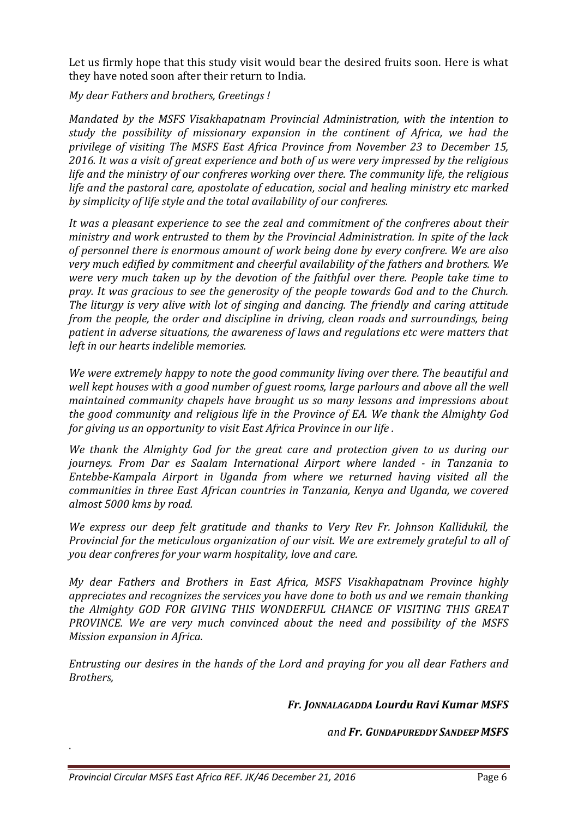Let us firmly hope that this study visit would bear the desired fruits soon. Here is what they have noted soon after their return to India.

*My dear Fathers and brothers, Greetings !* 

*Mandated by the MSFS Visakhapatnam Provincial Administration, with the intention to study the possibility of missionary expansion in the continent of Africa, we had the privilege of visiting The MSFS East Africa Province from November 23 to December 15, 2016. It was a visit of great experience and both of us were very impressed by the religious life and the ministry of our confreres working over there. The community life, the religious life and the pastoral care, apostolate of education, social and healing ministry etc marked by simplicity of life style and the total availability of our confreres.* 

*It was a pleasant experience to see the zeal and commitment of the confreres about their ministry and work entrusted to them by the Provincial Administration. In spite of the lack of personnel there is enormous amount of work being done by every confrere. We are also very much edified by commitment and cheerful availability of the fathers and brothers. We were very much taken up by the devotion of the faithful over there. People take time to pray. It was gracious to see the generosity of the people towards God and to the Church. The liturgy is very alive with lot of singing and dancing. The friendly and caring attitude from the people, the order and discipline in driving, clean roads and surroundings, being patient in adverse situations, the awareness of laws and regulations etc were matters that left in our hearts indelible memories.* 

*We were extremely happy to note the good community living over there. The beautiful and well kept houses with a good number of guest rooms, large parlours and above all the well maintained community chapels have brought us so many lessons and impressions about the good community and religious life in the Province of EA. We thank the Almighty God for giving us an opportunity to visit East Africa Province in our life .* 

*We thank the Almighty God for the great care and protection given to us during our journeys. From Dar es Saalam International Airport where landed - in Tanzania to Entebbe-Kampala Airport in Uganda from where we returned having visited all the communities in three East African countries in Tanzania, Kenya and Uganda, we covered almost 5000 kms by road.* 

*We express our deep felt gratitude and thanks to Very Rev Fr. Johnson Kallidukil, the Provincial for the meticulous organization of our visit. We are extremely grateful to all of you dear confreres for your warm hospitality, love and care.* 

*My dear Fathers and Brothers in East Africa, MSFS Visakhapatnam Province highly appreciates and recognizes the services you have done to both us and we remain thanking the Almighty GOD FOR GIVING THIS WONDERFUL CHANCE OF VISITING THIS GREAT PROVINCE. We are very much convinced about the need and possibility of the MSFS Mission expansion in Africa.* 

*Entrusting our desires in the hands of the Lord and praying for you all dear Fathers and Brothers,* 

*Fr. JONNALAGADDA Lourdu Ravi Kumar MSFS* 

*and Fr. GUNDAPUREDDY SANDEEP MSFS*

.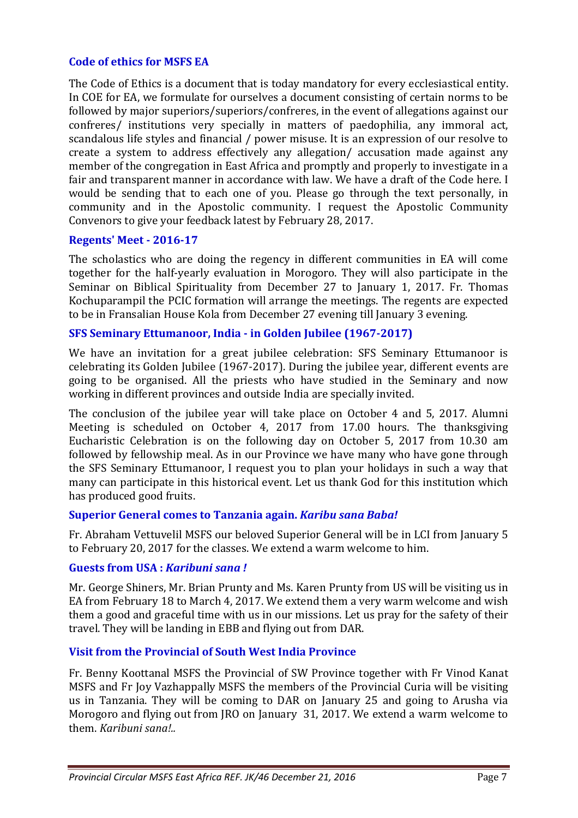## **Code of ethics for MSFS EA**

The Code of Ethics is a document that is today mandatory for every ecclesiastical entity. In COE for EA, we formulate for ourselves a document consisting of certain norms to be followed by major superiors/superiors/confreres, in the event of allegations against our confreres/ institutions very specially in matters of paedophilia, any immoral act, scandalous life styles and financial / power misuse. It is an expression of our resolve to create a system to address effectively any allegation/ accusation made against any member of the congregation in East Africa and promptly and properly to investigate in a fair and transparent manner in accordance with law. We have a draft of the Code here. I would be sending that to each one of you. Please go through the text personally, in community and in the Apostolic community. I request the Apostolic Community Convenors to give your feedback latest by February 28, 2017.

## **Regents' Meet - 2016-17**

The scholastics who are doing the regency in different communities in EA will come together for the half-yearly evaluation in Morogoro. They will also participate in the Seminar on Biblical Spirituality from December 27 to January 1, 2017. Fr. Thomas Kochuparampil the PCIC formation will arrange the meetings. The regents are expected to be in Fransalian House Kola from December 27 evening till January 3 evening.

## **SFS Seminary Ettumanoor, India - in Golden Jubilee (1967-2017)**

We have an invitation for a great jubilee celebration: SFS Seminary Ettumanoor is celebrating its Golden Jubilee (1967-2017). During the jubilee year, different events are going to be organised. All the priests who have studied in the Seminary and now working in different provinces and outside India are specially invited.

The conclusion of the jubilee year will take place on October 4 and 5, 2017. Alumni Meeting is scheduled on October 4, 2017 from 17.00 hours. The thanksgiving Eucharistic Celebration is on the following day on October 5, 2017 from 10.30 am followed by fellowship meal. As in our Province we have many who have gone through the SFS Seminary Ettumanoor, I request you to plan your holidays in such a way that many can participate in this historical event. Let us thank God for this institution which has produced good fruits.

#### **Superior General comes to Tanzania again.** *Karibu sana Baba!*

Fr. Abraham Vettuvelil MSFS our beloved Superior General will be in LCI from January 5 to February 20, 2017 for the classes. We extend a warm welcome to him.

#### **Guests from USA :** *Karibuni sana !*

Mr. George Shiners, Mr. Brian Prunty and Ms. Karen Prunty from US will be visiting us in EA from February 18 to March 4, 2017. We extend them a very warm welcome and wish them a good and graceful time with us in our missions. Let us pray for the safety of their travel. They will be landing in EBB and flying out from DAR.

#### **Visit from the Provincial of South West India Province**

Fr. Benny Koottanal MSFS the Provincial of SW Province together with Fr Vinod Kanat MSFS and Fr Joy Vazhappally MSFS the members of the Provincial Curia will be visiting us in Tanzania. They will be coming to DAR on January 25 and going to Arusha via Morogoro and flying out from JRO on January 31, 2017. We extend a warm welcome to them. *Karibuni sana!..*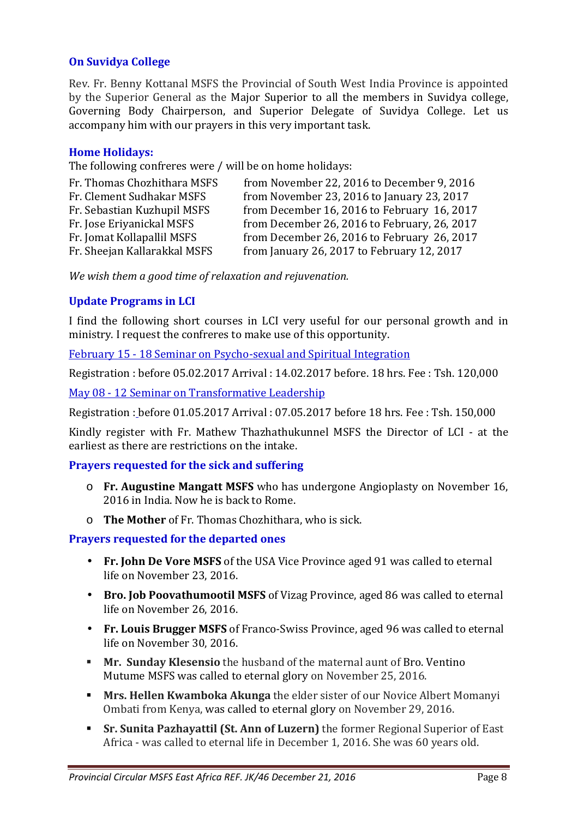## **On Suvidya College**

Rev. Fr. Benny Kottanal MSFS the Provincial of South West India Province is appointed by the Superior General as the Major Superior to all the members in Suvidya college, Governing Body Chairperson, and Superior Delegate of Suvidya College. Let us accompany him with our prayers in this very important task.

#### **Home Holidays:**

The following confreres were / will be on home holidays:

| Fr. Thomas Chozhithara MSFS  | from November 22, 2016 to December 9, 2016   |
|------------------------------|----------------------------------------------|
| Fr. Clement Sudhakar MSFS    | from November 23, 2016 to January 23, 2017   |
| Fr. Sebastian Kuzhupil MSFS  | from December 16, 2016 to February 16, 2017  |
| Fr. Jose Eriyanickal MSFS    | from December 26, 2016 to February, 26, 2017 |
| Fr. Jomat Kollapallil MSFS   | from December 26, 2016 to February 26, 2017  |
| Fr. Sheejan Kallarakkal MSFS | from January 26, 2017 to February 12, 2017   |

*We wish them a good time of relaxation and rejuvenation.* 

## **Update Programs in LCI**

I find the following short courses in LCI very useful for our personal growth and in ministry. I request the confreres to make use of this opportunity.

February 15 - 18 Seminar on Psycho-sexual and Spiritual Integration

Registration : before 05.02.2017 Arrival : 14.02.2017 before. 18 hrs. Fee : Tsh. 120,000

May 08 - 12 Seminar on Transformative Leadership

Registration : before 01.05.2017 Arrival : 07.05.2017 before 18 hrs. Fee : Tsh. 150,000

Kindly register with Fr. Mathew Thazhathukunnel MSFS the Director of LCI - at the earliest as there are restrictions on the intake.

## **Prayers requested for the sick and suffering**

- o **Fr. Augustine Mangatt MSFS** who has undergone Angioplasty on November 16, 2016 in India. Now he is back to Rome.
- o **The Mother** of Fr. Thomas Chozhithara, who is sick.

## **Prayers requested for the departed ones**

- **Fr. John De Vore MSFS** of the USA Vice Province aged 91 was called to eternal life on November 23, 2016.
- **Bro. Job Poovathumootil MSFS** of Vizag Province, aged 86 was called to eternal life on November 26, 2016.
- **Fr. Louis Brugger MSFS** of Franco-Swiss Province, aged 96 was called to eternal life on November 30, 2016.
- **Mr. Sunday Klesensio** the husband of the maternal aunt of Bro. Ventino Mutume MSFS was called to eternal glory on November 25, 2016.
- **Mrs. Hellen Kwamboka Akunga** the elder sister of our Novice Albert Momanyi Ombati from Kenya, was called to eternal glory on November 29, 2016.
- **Sr. Sunita Pazhayattil (St. Ann of Luzern)** the former Regional Superior of East Africa - was called to eternal life in December 1, 2016. She was 60 years old.